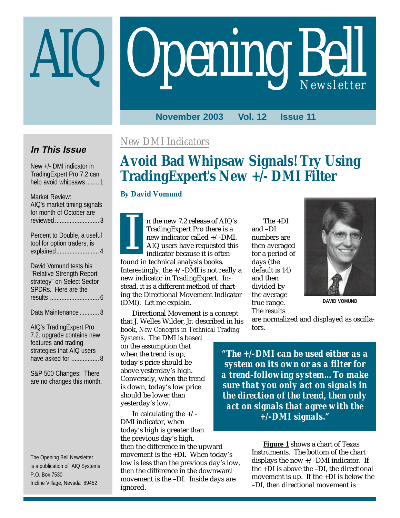# **Opening Bell**

**November 2003 Vol. 12 Issue 11**

# **In This Issue**

New +/- DMI indicator in TradingExpert Pro 7.2 can help avoid whipsaws ........ 1

Market Review: AIQ's market timing signals for month of October are reviewed........................... 3

Percent to Double, a useful tool for option traders, is explained.......................... 4

David Vomund tests his "Relative Strength Report strategy" on Select Sector SPDRs. Here are the results .............................. 6

Data Maintenance ............ 8

AIQ's TradingExpert Pro 7.2. upgrade contains new features and trading strategies that AIQ users have asked for ................. 8

S&P 500 Changes: There are no changes this month.

The Opening Bell Newsletter is a publication of AIQ Systems P.O. Box 7530 Incline Village, Nevada 89452

# *New DMI Indicators*

# **Avoid Bad Whipsaw Signals! Try Using TradingExpert's New +/- DMI Filter**

## **By David Vomund**

n the new 7.2 release of AIQ's TradingExpert Pro there is a new indicator called +/-DMI. AIQ users have requested this indicator because it is often n the new 7.2 release of AIQ's The +DI<br>TradingExpert Pro there is a and -DI<br>new indicator called +/-DMI. numbers are<br>AIQ users have requested this then average<br>indicator because it is often for a period

found in technical analysis books. Interestingly, the  $+/-$ DMI is not really a new indicator in TradingExpert. Instead, it is a different method of charting the Directional Movement Indicator (DMI). Let me explain.

Directional Movement is a concept that J. Welles Wilder, Jr. described in his book, *New Concepts in Technical Trading*

*Systems*. The DMI is based on the assumption that when the trend is up, today's price should be above yesterday's high. Conversely, when the trend is down, today's low price should be lower than yesterday's low.

In calculating the  $+/-$ DMI indicator, when today's high is greater than the previous day's high, then the difference in the upward movement is the +DI. When today's low is less than the previous day's low, then the difference in the downward movement is the –DI. Inside days are ignored.

and –DI numbers are then averaged for a period of days (the default is 14) and then divided by the average true range. The results



**DAVID VOMUND**

are normalized and displayed as oscillators.

*"The +/-DMI can be used either as a system on its own or as a filter for a trend-following system…To make sure that you only act on signals in the direction of the trend, then only act on signals that agree with the +/-DMI signals."*

> **Figure 1** shows a chart of Texas Instruments. The bottom of the chart displays the new  $+/-$ DMI indicator. If the +DI is above the –DI, the directional movement is up. If the +DI is below the –DI, then directional movement is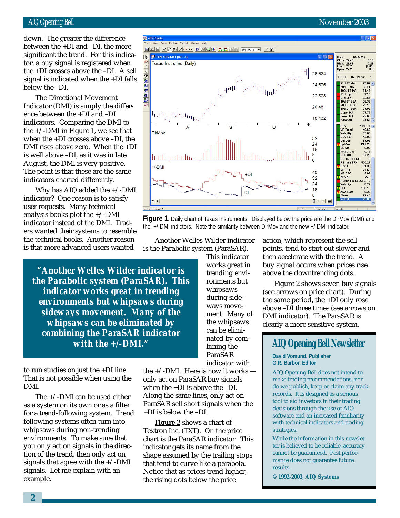#### AIQ Opening Bell November 2003

tor, a buy signal is registered when down. The greater the difference between the +DI and –DI, the more significant the trend. For this indicathe +DI crosses above the –DI. A sell signal is indicated when the +DI falls below the –DI.

AIO Charts

The Directional Movement Indicator (DMI) is simply the difference between the +DI and –DI indicators. Comparing the DMI to the  $+\sqrt{-}$ DMI in Figure 1, we see that when the +DI crosses above –DI, the DMI rises above zero. When the +DI is well above –DI, as it was in late August, the DMI is very positive. The point is that these are the same indicators charted differently.

Why has AIQ added the +/-DMI indicator? One reason is to satisfy user requests. Many technical analysis books plot the  $+/-$ DMI indicator instead of the DMI. Traders wanted their systems to resemble the technical books. Another reason is that more advanced users wanted

*"Another Welles Wilder indicator is the Parabolic system (ParaSAR). This indicator works great in trending environments but whipsaws during sideways movement. Many of the whipsaws can be eliminated by combining the ParaSAR indicator with the +/-DMI."*

to run studies on just the +DI line. That is not possible when using the DMI.

The +/-DMI can be used either as a system on its own or as a filter for a trend-following system. Trend following systems often turn into whipsaws during non-trending environments. To make sure that you only act on signals in the direction of the trend, then only act on signals that agree with the  $+/-$ DMI signals. Let me explain with an example.

the +/-DMI. Here is how it works only act on ParaSAR buy signals when the +DI is above the –DI. Along the same lines, only act on ParaSAR sell short signals when the +DI is below the –DI.

Another Welles Wilder indicator is the Parabolic system (ParaSAR).

> This indicator works great in trending environments but whipsaws during sideways movement. Many of the whipsaws can be eliminated by combining the ParaSAR indicator with

**Figure 2** shows a chart of Textron Inc. (TXT). On the price chart is the ParaSAR indicator. This indicator gets its name from the shape assumed by the trailing stops that tend to curve like a parabola. Notice that as prices trend higher, the rising dots below the price



Figure 2 shows seven buy signals (see arrows on price chart). During the same period, the +DI only rose above –DI three times (see arrows on DMI indicator). The ParaSAR is clearly a more sensitive system.

# **AIQ Opening Bell Newsletter**

**David Vomund, Publisher G.R. Barbor, Editor**

AIQ Opening Bell does not intend to make trading recommendations, nor do we publish, keep or claim any track records. It is designed as a serious tool to aid investors in their trading decisions through the use of AIQ software and an increased familiarity with technical indicators and trading strategies.

While the information in this newsletter is believed to be reliable, accuracy cannot be guaranteed. Past performance does not guarantee future results.

**© 1992-2003, AIQ Systems**



**Figure 1.** Daily chart of Texas Instruments. Displayed below the price are the DirMov (DMI) and

the +/-DMI indictors. Note the similarity between DirMov and the new +/-DMI indicator.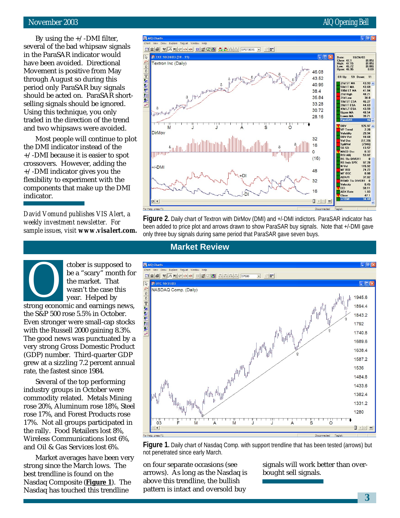### November 2003 AIQ Opening Bell

ER Up:

volatility<br>DBV Pct

ol Oso SplitVol

SK-SD

BSI AIC

N-Vol<br>MF RSI

**MF OSC** 

Velocity

**CCL** 

ADX/R

MACD Ose

nar Ale<br>RS Tkr DIVER1<br>RS Indx SPX

**RSMD TKr DIVER1** 

59 Down  $11$ 43.93

46.08 43.52

40.96

38.4

35.84

33.28

30.72 28.16

 $32$ 

16

 $(16)$ 

48

32

 $16$  $\blacksquare$   $\blacktriangleright$  ER

 $\overline{0}$ 

 $\begin{array}{c} (0.05)\ (0.09)\ 0.09 \end{array}$ 

43.69 41.84

48.21

 $38.8$ 46.27

46.27<br>44.63<br>43.59<br>48.54

39.71 925.97

25.97<br>2.28<br>29.94<br>18.68

 $[7346]$ 

13.57

97.28<br>115.92

74.72

 $0.88$ 37.02

 $0.45$ 

 $\frac{59.11}{1.03}$ 

0.32 53.02

By using the  $+/-$ DMI filter, several of the bad whipsaw signals in the ParaSAR indicator would have been avoided. Directional Movement is positive from May through August so during this period only ParaSAR buy signals should be acted on. ParaSAR shortselling signals should be ignored. Using this technique, you only traded in the direction of the trend and two whipsaws were avoided.

AIO Charts

 $\overline{\mathbb{R}}$ 

↑→工程影生刑影

TXT 10/24/03 (59 - 11)

Textron Inc (Daily)

B<br>hillbeholderholder

M

DirMoy

 $+/-$ DMI

 $ER$ <sup>4</sup>

Most people will continue to plot the DMI indicator instead of the +/-DMI because it is easier to spot crossovers. However, adding the +/-DMI indicator gives you the flexibility to experiment with the components that make up the DMI indicator.

*David Vomund publishes VIS Alert, a weekly investment newsletter. For sample issues, visit www.visalert.com.*

> ctober is supposed to be a "scary" month for the market. That

**Figure 2.** Daily chart of Textron with DirMov (DMI) and +/-DMI indictors. ParaSAR indicator has been added to price plot and arrows drawn to show ParaSAR buy signals. Note that +/-DMI gave only three buy signals during same period that ParaSAR gave seven buys.

## **Market Review**

ن<br>بالاستعاد المائلة المهوانية<br>مستقدمة المستقدمة



**Figure 1.** Daily chart of Nasdaq Comp. with support trendline that has been tested (arrows) but not penetrated since early March.

on four separate occasions (see arrows). As long as the Nasdaq is above this trendline, the bullish pattern is intact and oversold buy

signals will work better than overbought sell signals.

wasn't the case this year. Helped by strong economic and earnings news, the S&P 500 rose 5.5% in October. Even stronger were small-cap stocks with the Russell 2000 gaining 8.3%. The good news was punctuated by a very strong Gross Domestic Product (GDP) number. Third-quarter GDP grew at a sizzling 7.2 percent annual rate, the fastest since 1984. Several of the top performing

industry groups in October were commodity related. Metals Mining rose 20%, Aluminum rose 18%, Steel rose 17%, and Forest Products rose 17%. Not all groups participated in the rally. Food Retailers lost 8%, Wireless Communications lost 6%, and Oil & Gas Services lost 6%.

Market averages have been very strong since the March lows. The best trendline is found on the Nasdaq Composite (**Figure 1**). The Nasdaq has touched this trendline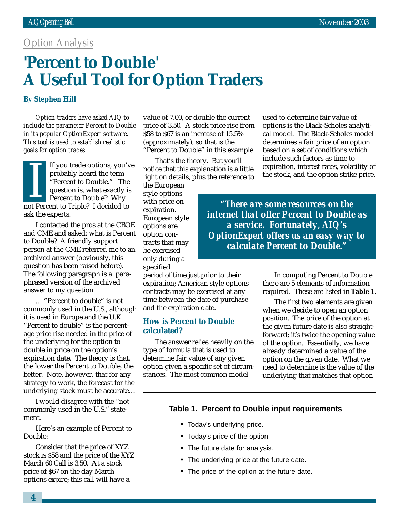## *Option Analysis*

# '**Percent to Double' A Useful Tool for Option Traders**

#### **By Stephen Hill**

*Option traders have asked AIQ to include the parameter Percent to Double in its popular OptionExpert software. This tool is used to establish realistic goals for option trades.*

If you trade options, you've probably heard the term "Percent to Double." The question is, what exactly is Percent to Double? Why n you did to phons, you<br>probably heard the term<br>"Percent to Double." The<br>question is, what exactly is<br>Percent to Double? Why<br>not Percent to Triple? I decided to ask the experts.

I contacted the pros at the CBOE and CME and asked: what is Percent to Double? A friendly support person at the CME referred me to an archived answer (obviously, this question has been raised before). The following paragraph is a paraphrased version of the archived answer to my question.

…."Percent to double" is not commonly used in the U.S., although it is used in Europe and the U.K. "Percent to double" is the percentage price rise needed in the price of the underlying for the option to double in price on the option's expiration date. The theory is that, the lower the Percent to Double, the better. Note, however, that for any strategy to work, the forecast for the underlying stock must be accurate…

I would disagree with the "not commonly used in the U.S." statement.

Here's an example of Percent to Double:

Consider that the price of XYZ stock is \$58 and the price of the XYZ March 60 Call is 3.50. At a stock price of \$67 on the day March options expire; this call will have a

value of 7.00, or double the current price of 3.50. A stock price rise from \$58 to \$67 is an increase of 15.5% (approximately), so that is the "Percent to Double" in this example.

That's the theory. But you'll notice that this explanation is a little light on details, plus the reference to

the European style options with price on expiration. European style options are option contracts that may be exercised only during a specified

period of time just prior to their expiration; American style options contracts may be exercised at any time between the date of purchase and the expiration date.

#### **How is Percent to Double calculated?**

The answer relies heavily on the type of formula that is used to determine fair value of any given option given a specific set of circumstances. The most common model

used to determine fair value of options is the Black-Scholes analytical model. The Black-Scholes model determines a fair price of an option based on a set of conditions which include such factors as time to expiration, interest rates, volatility of the stock, and the option strike price.

*"There are some resources on the internet that offer Percent to Double as a service. Fortunately, AIQ's OptionExpert offers us an easy way to calculate Percent to Double."*

> In computing Percent to Double there are 5 elements of information required. These are listed in **Table 1**.

> The first two elements are given when we decide to open an option position. The price of the option at the given future date is also straightforward; it's twice the opening value of the option. Essentially, we have already determined a value of the option on the given date. What we need to determine is the value of the underlying that matches that option

### **Table 1. Percent to Double input requirements**

- Today's underlying price.
- Today's price of the option.
- The future date for analysis.
- The underlying price at the future date.
- The price of the option at the future date.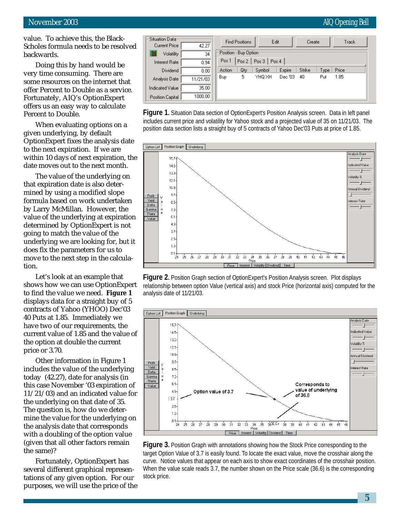value. To achieve this, the Black-Scholes formula needs to be resolved backwards.

Doing this by hand would be very time consuming. There are some resources on the internet that offer Percent to Double as a service. Fortunately, AIQ's OptionExpert offers us an easy way to calculate Percent to Double.

When evaluating options on a given underlying, by default OptionExpert fixes the analysis date to the next expiration. If we are within 10 days of next expiration, the date moves out to the next month.

The value of the underlying on that expiration date is also determined by using a modified slope formula based on work undertaken by Larry McMillan. However, the value of the underlying at expiration determined by OptionExpert is not going to match the value of the underlying we are looking for, but it does fix the parameters for us to move to the next step in the calculation.

Let's look at an example that shows how we can use OptionExpert to find the value we need. **Figure 1** displays data for a straight buy of 5 contracts of Yahoo (YHOO) Dec'03 40 Puts at 1.85. Immediately we have two of our requirements, the current value of 1.85 and the value of the option at double the current price or 3.70.

Other information in Figure 1 includes the value of the underlying today (42.27), date for analysis (in this case November '03 expiration of 11/21/03) and an indicated value for the underlying on that date of 35. The question is, how do we determine the value for the underlying on the analysis date that corresponds with a doubling of the option value (given that all other factors remain the same)?

Fortunately, OptionExpert has several different graphical representations of any given option. For our purposes, we will use the price of the



**Figure 1.** Situation Data section of OptionExpert's Position Analysis screen. Data in left panel includes current price and volatility for Yahoo stock and a projected value of 35 on 11/21/03. The position data section lists a straight buy of 5 contracts of Yahoo Dec'03 Puts at price of 1.85.



**Figure 2.** Position Graph section of OptionExpert's Position Analysis screen. Plot displays relationship between option Value (vertical axis) and stock Price (horizontal axis) computed for the analysis date of 11/21/03.



**Figure 3.** Position Graph with annotations showing how the Stock Price corresponding to the target Option Value of 3.7 is easily found. To locate the exact value, move the crosshair along the curve. Notice values that appear on each axis to show exact coordinates of the crosshair position. When the value scale reads 3.7, the number shown on the Price scale (36.6) is the corresponding stock price.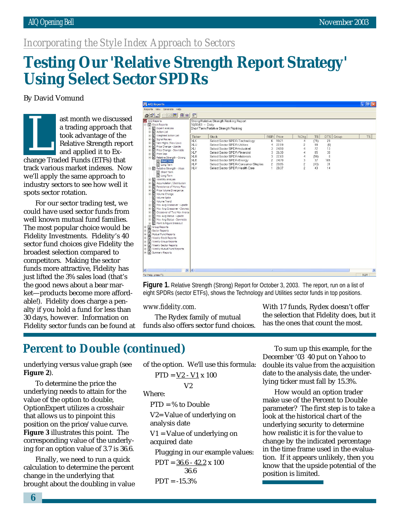# *Incorporating the Style Index Approach to Sectors*

# **Testing Our 'Relative Strength Report Strategy' Using Select Sector SPDRs**

By David Vomund

ast month we discussed a trading approach that took advantage of the Relative Strength report and applied it to Exast month we discussed<br>a trading approach the<br>took advantage of the<br>Relative Strength repo<br>and applied it to Ex-<br>change Traded Funds (ETFs) that track various market indexes. Now we'll apply the same approach to industry sectors to see how well it spots sector rotation.

For our sector trading test, we could have used sector funds from well known mutual fund families. The most popular choice would be Fidelity Investments. Fidelity's 40 sector fund choices give Fidelity the broadest selection compared to competitors. Making the sector funds more attractive, Fidelity has just lifted the 3% sales load (that's the good news about a bear market—products become more affordable!). Fidelity does charge a penalty if you hold a fund for less than 30 days, however. Information on Fidelity sector funds can be found at

| <b>MA AIO Reports</b><br>∥⊕                                                                                                                                                                                                                                                                                                                                                                                                                                                                                                                                                                                                                                                                                                                                                                                                                                                                                                                                                                                                                                     |                                                                                                                       |                                                                                                                                                                                                                                                                                                                                                                         |                                                                                               |                                                                      |                                                                      |                                                                 |                                                                    |       |            |
|-----------------------------------------------------------------------------------------------------------------------------------------------------------------------------------------------------------------------------------------------------------------------------------------------------------------------------------------------------------------------------------------------------------------------------------------------------------------------------------------------------------------------------------------------------------------------------------------------------------------------------------------------------------------------------------------------------------------------------------------------------------------------------------------------------------------------------------------------------------------------------------------------------------------------------------------------------------------------------------------------------------------------------------------------------------------|-----------------------------------------------------------------------------------------------------------------------|-------------------------------------------------------------------------------------------------------------------------------------------------------------------------------------------------------------------------------------------------------------------------------------------------------------------------------------------------------------------------|-----------------------------------------------------------------------------------------------|----------------------------------------------------------------------|----------------------------------------------------------------------|-----------------------------------------------------------------|--------------------------------------------------------------------|-------|------------|
| Reports View Generate Help                                                                                                                                                                                                                                                                                                                                                                                                                                                                                                                                                                                                                                                                                                                                                                                                                                                                                                                                                                                                                                      |                                                                                                                       |                                                                                                                                                                                                                                                                                                                                                                         |                                                                                               |                                                                      |                                                                      |                                                                 |                                                                    |       |            |
| $A$ dd dd d d i                                                                                                                                                                                                                                                                                                                                                                                                                                                                                                                                                                                                                                                                                                                                                                                                                                                                                                                                                                                                                                                 | $\mathbb{F}$                                                                                                          |                                                                                                                                                                                                                                                                                                                                                                         |                                                                                               |                                                                      |                                                                      |                                                                 |                                                                    |       |            |
| <mark>세</mark> AIQ Reports<br>日·탈 Stock Reports<br><b>E</b> Expert Analysis<br>Action List<br>÷<br>Weighted Action List<br>÷<br>Signal Review<br>÷<br>New Highs / New Lows<br>Ė<br>Price Change - Upside<br>÷<br>Price Change - Downside<br>Ė<br>Price Gap<br>$\ddot{}$<br>白雪 Relative Strength - Strong<br>Short Term<br>The Long Term<br>F Relative Strength - Weak<br>Short Term<br><b>D</b> Long Term<br>Volatility Analysis<br>÷<br>Accumulation / Distribution<br>Ĥ<br>Persistence of Money Flow<br>÷,<br>Price Volume Divergence<br>$\ddot{}$<br>Volume Change<br>Volume Spike<br>Volume Trend<br>Mov Avg Crossover - Upside<br>÷<br>Mov Avg Crossover - Downsic<br>Ė<br>Crossover of Two Mov Avera<br>ŵ<br>Mov Avg Status - Upside<br>南<br>Ė<br>Mov Avg Status - Downside<br>÷<br>Point & Figure Breakout<br>电目<br>Group Reports<br>+B<br>Sector Reports<br>È<br>Ð<br>Mutual Fund Reports<br>Ė.<br>Weekly Stock Reports<br>冏<br>Ė.<br>冏<br>Weekly Group Reports<br>Weekly Sector Reports<br>主日<br>主日<br>Weekly Mutual Fund Reports<br>E Summary Reports | 10/03/03 - Daily<br>Ticker<br>XLK<br>XLU<br>XLI<br><b>XLF</b><br><b>XLB</b><br><b>XLE</b><br><b>XLP</b><br><b>XLV</b> | Strong Relative Strength Ranking Report<br>Short Term Relative Strength Ranking<br><b>Stock</b><br>Select Sector SPDR-Technology<br>Select Sector SPDR-Utilities<br>Select Sector SPDR-Industrial<br>Select Sector SPDR-Financial<br>Select Sector SPDR-Materials<br>Select Sector SPDR-Energy<br>Select Sector SPDR-Consumer Staples<br>Select Sector SPDR-Health Care | <b>RSR</b> Price<br>6<br>4<br>3<br>3<br>3<br>$\overline{c}$<br>$\mathfrak{p}$<br>$\mathbf{1}$ | 19.21<br>22.19<br>24.10<br>26.30<br>22.63<br>24.70<br>20.85<br>28.37 | %Chq<br>$\overline{4}$<br>$\overline{c}$<br>3<br>$\overline{c}$<br>2 | <b>TS</b><br>(71)<br>98<br>72<br>85<br>(98)<br>37<br>(43)<br>43 | <b>DTS</b><br>29<br>(0)<br>13<br>30<br>$\theta$<br>105<br>31<br>14 | Group | <b>TS</b>  |
|                                                                                                                                                                                                                                                                                                                                                                                                                                                                                                                                                                                                                                                                                                                                                                                                                                                                                                                                                                                                                                                                 |                                                                                                                       |                                                                                                                                                                                                                                                                                                                                                                         |                                                                                               |                                                                      |                                                                      |                                                                 |                                                                    |       |            |
| $\left  \left\langle \right\rangle \right $<br>$\rightarrow$                                                                                                                                                                                                                                                                                                                                                                                                                                                                                                                                                                                                                                                                                                                                                                                                                                                                                                                                                                                                    | $\vert \cdot \vert$                                                                                                   |                                                                                                                                                                                                                                                                                                                                                                         | HH.                                                                                           |                                                                      |                                                                      |                                                                 |                                                                    |       |            |
| For Help, press F1                                                                                                                                                                                                                                                                                                                                                                                                                                                                                                                                                                                                                                                                                                                                                                                                                                                                                                                                                                                                                                              |                                                                                                                       |                                                                                                                                                                                                                                                                                                                                                                         |                                                                                               |                                                                      |                                                                      |                                                                 |                                                                    |       | <b>NUM</b> |
|                                                                                                                                                                                                                                                                                                                                                                                                                                                                                                                                                                                                                                                                                                                                                                                                                                                                                                                                                                                                                                                                 |                                                                                                                       |                                                                                                                                                                                                                                                                                                                                                                         |                                                                                               |                                                                      |                                                                      |                                                                 |                                                                    |       |            |

**Figure 1.** Relative Strength (Strong) Report for October 3, 2003. The report, run on a list of eight SPDRs (sector ETFs), shows the Technology and Utilities sector funds in top positions.

#### *www.fidelity.com.*

The Rydex family of mutual funds also offers sector fund choices. With 17 funds, Rydex doesn't offer the selection that Fidelity does, but it has the ones that count the most.

# **Percent to Double (continued)**

underlying versus value graph (see **Figure 2**).

To determine the price the underlying needs to attain for the value of the option to double, OptionExpert utilizes a crosshair that allows us to pinpoint this position on the price/value curve. **Figure 3** illustrates this point. The corresponding value of the underlying for an option value of 3.7 is 36.6.

Finally, we need to run a quick calculation to determine the percent change in the underlying that brought about the doubling in value

of the option. We'll use this formula:  

$$
PTD = \underline{V2 - V1} \times 100
$$

$$
V2
$$

Where:

 $PTD = % to Double$ 

V2= Value of underlying on analysis date

V1 = Value of underlying on acquired date

Plugging in our example values:  $PDT = 36.6 - 42.2 \times 100$  36.6  $PDT = -15.3%$ 

To sum up this example, for the December '03 40 put on Yahoo to double its value from the acquisition date to the analysis date, the underlying ticker must fall by 15.3%.

How would an option trader make use of the Percent to Double parameter? The first step is to take a look at the historical chart of the underlying security to determine how realistic it is for the value to change by the indicated percentage in the time frame used in the evaluation. If it appears unlikely, then you know that the upside potential of the position is limited.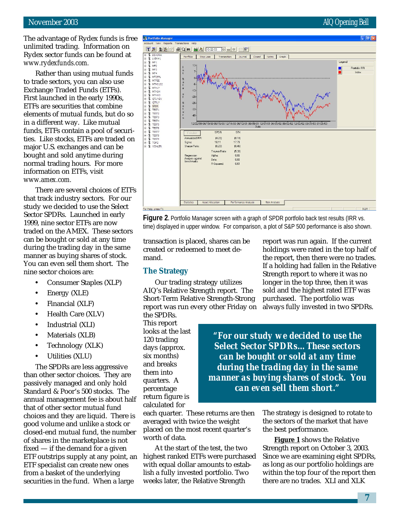The advantage of Rydex funds is free unlimited trading. Information on Rydex sector funds can be found at *www.rydexfunds.com.*

Rather than using mutual funds to trade sectors, you can also use Exchange Traded Funds (ETFs). First launched in the early 1990s, ETFs are securities that combine elements of mutual funds, but do so in a different way. Like mutual funds, ETFs contain a pool of securities. Like stocks, ETFs are traded on major U.S. exchanges and can be bought and sold anytime during normal trading hours. For more information on ETFs, visit *www.amex.com.*

There are several choices of ETFs that track industry sectors. For our study we decided to use the Select Sector SPDRs. Launched in early 1999, nine sector ETFs are now traded on the AMEX. These sectors can be bought or sold at any time during the trading day in the same manner as buying shares of stock. You can even sell them short. The nine sector choices are:

- Consumer Staples (XLP)
- Energy (XLE)
- Financial (XLF)
- Health Care (XLV)
- Industrial (XLI)
- Materials (XLB)
- Technology (XLK)
- Utilities (XLU)

The SPDRs are less aggressive than other sector choices. They are passively managed and only hold Standard & Poor's 500 stocks. The annual management fee is about half that of other sector mutual fund choices and they are liquid. There is good volume and unlike a stock or closed-end mutual fund, the number of shares in the marketplace is not fixed — if the demand for a given ETF outstrips supply at any point, an ETF specialist can create new ones from a basket of the underlying securities in the fund. When a large



**Figure 2.** Portfolio Manager screen with a graph of SPDR portfolio back test results (IRR vs. time) displayed in upper window. For comparison, a plot of S&P 500 performance is also shown.

transaction is placed, shares can be created or redeemed to meet demand.

#### **The Strategy**

Our trading strategy utilizes AIQ's Relative Strength report. The Short-Term Relative Strength-Strong report was run every other Friday on

the SPDRs. This report looks at the last 120 trading days (approx. six months) and breaks them into quarters. A percentage return figure is calculated for

*can even sell them short."* each quarter. These returns are then averaged with twice the weight placed on the most recent quarter's

worth of data. At the start of the test, the two highest ranked ETFs were purchased with equal dollar amounts to establish a fully invested portfolio. Two weeks later, the Relative Strength

report was run again. If the current holdings were rated in the top half of the report, then there were no trades. If a holding had fallen in the Relative Strength report to where it was no longer in the top three, then it was sold and the highest rated ETF was purchased. The portfolio was always fully invested in two SPDRs.

*"For our study we decided to use the Select Sector SPDRs…These sectors can be bought or sold at any time during the trading day in the same manner as buying shares of stock. You*

> The strategy is designed to rotate to the sectors of the market that have the best performance.

**Figure 1** shows the Relative Strength report on October 3, 2003. Since we are examining eight SPDRs, as long as our portfolio holdings are within the top four of the report then there are no trades. XLI and XLK